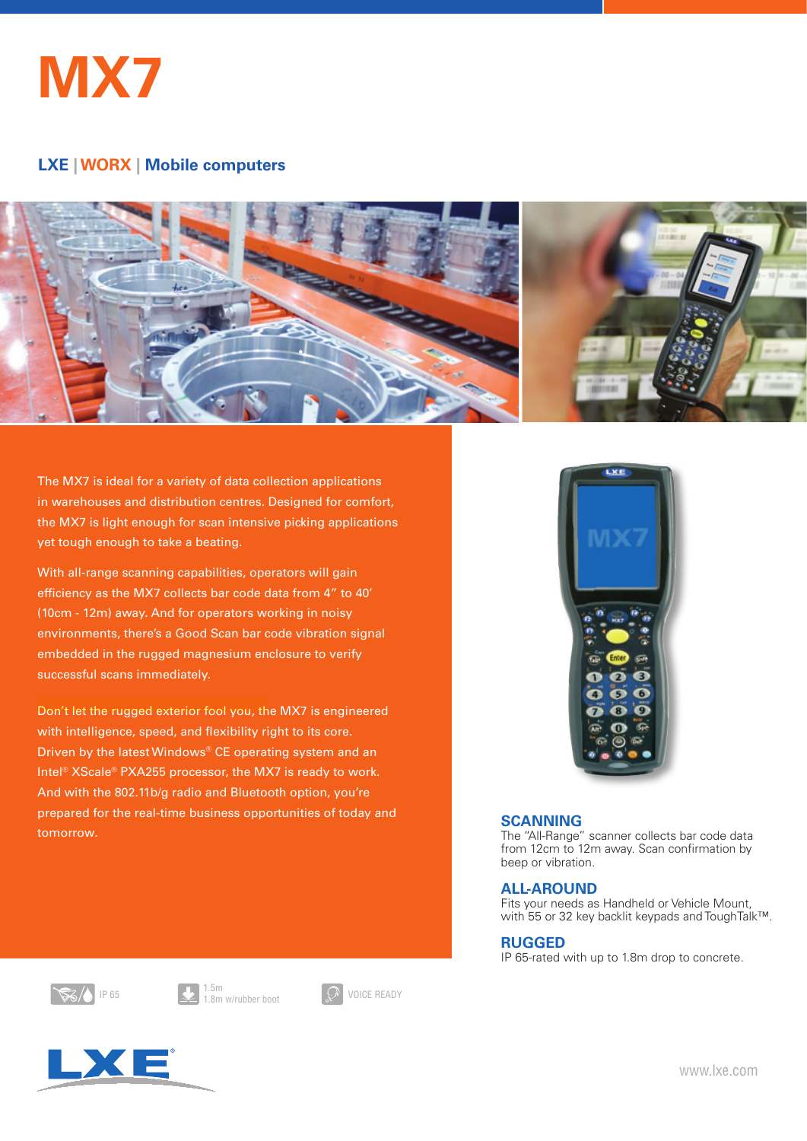

#### **LXE | HANDHELDS | Mobile Computers LXE | WORX | Mobile computers**



The MX7 is ideal for a variety of data collection applications in warehouses and distribution centres. Designed for comfort, the MX7 is light enough for scan intensive picking applications yet tough enough to take a beating.

With all-range scanning capabilities, operators will gain efficiency as the MX7 collects bar code data from 4" to 40' (10cm - 12m) away. And for operators working in noisy environments, there's a Good Scan bar code vibration signal embedded in the rugged magnesium enclosure to verify successful scans immediately.

Don't let the rugged exterior fool you, the MX7 is engineered with intelligence, speed, and flexibility right to its core. Driven by the latest Windows® CE operating system and an Intel® XScale® PXA255 processor, the MX7 is ready to work. And with the 802.11b/g radio and Bluetooth option, you're prepared for the real-time business opportunities of today and tomorrow.



### **SCANNING**

The "All-Range" scanner collects bar code data from 12cm to 12m away. Scan confirmation by beep or vibration.

### **ALL-AROUND**

Fits your needs as Handheld or Vehicle Mount, with 55 or 32 key backlit keypads and ToughTalk™.

### **RUGGED**

IP 65-rated with up to 1.8m drop to concrete.